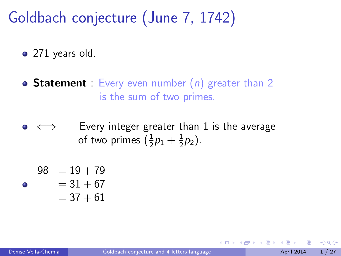Goldbach conjecture (June 7, 1742)

• 271 years old.

- **Statement** : Every even number  $(n)$  greater than 2 is the sum of two primes.
- Every integer greater than 1 is the average of two primes  $(\frac{1}{2}p_1 + \frac{1}{2})$  $(\frac{1}{2}p_2).$

$$
98 = 19 + 79
$$

$$
= 31 + 67
$$

<span id="page-0-0"></span>
$$
=37+61
$$

۸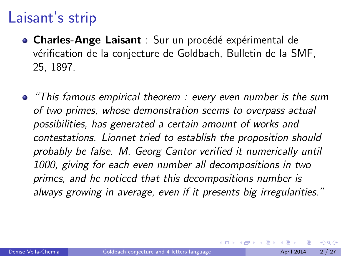### Laisant's strip

- Charles-Ange Laisant : Sur un procédé expérimental de vérification de la conjecture de Goldbach, Bulletin de la SMF, 25, 1897.
- **•** "This famous empirical theorem : every even number is the sum of two primes, whose demonstration seems to overpass actual possibilities, has generated a certain amount of works and contestations. Lionnet tried to establish the proposition should probably be false. M. Georg Cantor verified it numerically until 1000, giving for each even number all decompositions in two primes, and he noticed that this decompositions number is always growing in average, even if it presents big irregularities."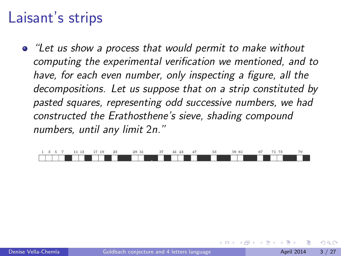### Laisant's strips

"Let us show a process that would permit to make without computing the experimental verification we mentioned, and to have, for each even number, only inspecting a figure, all the decompositions. Let us suppose that on a strip constituted by pasted squares, representing odd successive numbers, we had constructed the Erathosthene's sieve, shading compound numbers, until any limit 2n."

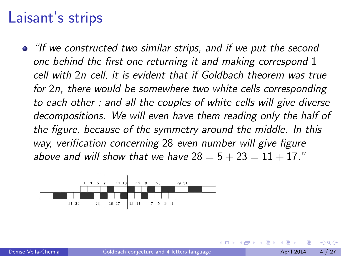#### Laisant's strips

"If we constructed two similar strips, and if we put the second one behind the first one returning it and making correspond 1 cell with 2n cell, it is evident that if Goldbach theorem was true for 2n, there would be somewhere two white cells corresponding to each other ; and all the couples of white cells will give diverse decompositions. We will even have them reading only the half of the figure, because of the symmetry around the middle. In this way, verification concerning 28 even number will give figure above and will show that we have  $28 = 5 + 23 = 11 + 17$ ."

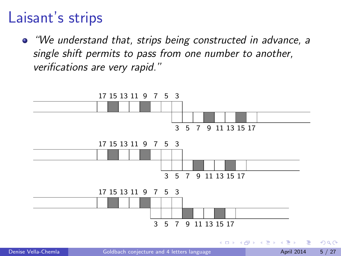## Laisant's strips

"We understand that, strips being constructed in advance, a single shift permits to pass from one number to another, verifications are very rapid."



4 D F → 何 ▶ Э×.

 $QQ$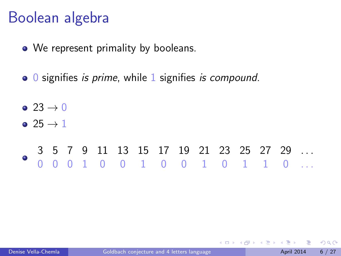## Boolean algebra

- We represent primality by booleans.
- 0 signifies *is prime*, while 1 signifies *is compound*.

 $\bullet$  23  $\rightarrow$  0

 $\bullet$  25  $\rightarrow$  1

#### 3 5 7 9 11 13 15 17 19 21 23 25 27 29 . . . 0 0 0 1 0 0 1 0 0 1 0 1 1 0 . . .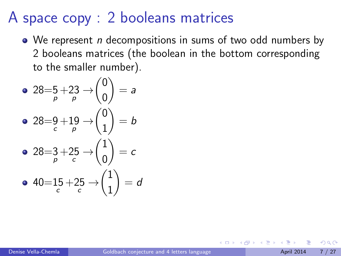# A space copy : 2 booleans matrices

• We represent *n* decompositions in sums of two odd numbers by 2 booleans matrices (the boolean in the bottom corresponding to the smaller number).

\n- \n
$$
28 = 5 + 23 \rightarrow \begin{pmatrix} 0 \\ 0 \end{pmatrix} = a
$$
\n
\n- \n
$$
28 = 9 + 19 \rightarrow \begin{pmatrix} 0 \\ 1 \end{pmatrix} = b
$$
\n
\n- \n
$$
28 = 3 + 25 \rightarrow \begin{pmatrix} 1 \\ 0 \end{pmatrix} = c
$$
\n
\n- \n
$$
40 = 15 + 25 \rightarrow \begin{pmatrix} 1 \\ 1 \end{pmatrix} = d
$$
\n
\n

4 **D** F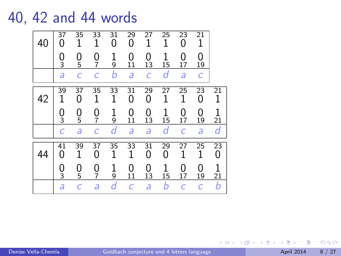#### 40, 42 and 44 words



 $QQ$ 

**K ロ ト K 何 ト K ヨ ト**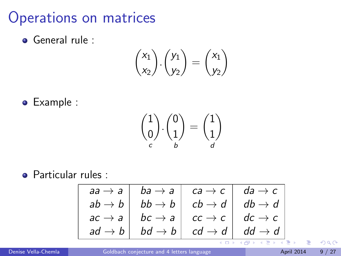Operations on matrices

General rule :

$$
\binom{x_1}{x_2}.\binom{y_1}{y_2}=\binom{x_1}{y_2}
$$

Example :

$$
\binom{1}{0} \cdot \binom{0}{1} = \binom{1}{1}
$$

Particular rules :

| $aa \rightarrow a$ | $ba \rightarrow a$ | $ca \rightarrow c$ | $da \rightarrow c$ |
|--------------------|--------------------|--------------------|--------------------|
| $ab \rightarrow b$ | $bb \rightarrow b$ | $cb \rightarrow d$ | $db \rightarrow d$ |
| $ac \rightarrow a$ | $bc \rightarrow a$ | $cc \rightarrow c$ | $dc \rightarrow c$ |
| $ad \rightarrow b$ | $bd \rightarrow b$ | $cd \rightarrow d$ | $dd \rightarrow d$ |

 $\rightarrow$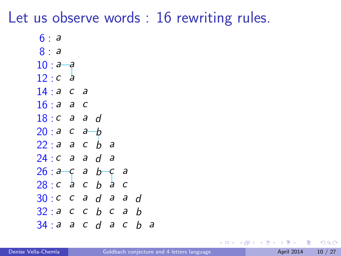### Let us observe words : 16 rewriting rules.

| $10 : a - a$ |                  |                                                |                                                                                                   |                                              |                                      |  |
|--------------|------------------|------------------------------------------------|---------------------------------------------------------------------------------------------------|----------------------------------------------|--------------------------------------|--|
| $\partial$   |                  |                                                |                                                                                                   |                                              |                                      |  |
| 14: a<br>С   | a                |                                                |                                                                                                   |                                              |                                      |  |
|              | с                |                                                |                                                                                                   |                                              |                                      |  |
|              | a                | d                                              |                                                                                                   |                                              |                                      |  |
| 20: a c      | a                |                                                |                                                                                                   |                                              |                                      |  |
|              | $\boldsymbol{C}$ | b                                              |                                                                                                   |                                              |                                      |  |
|              |                  |                                                | a                                                                                                 |                                              |                                      |  |
|              |                  |                                                | с                                                                                                 | а                                            |                                      |  |
|              |                  | b                                              |                                                                                                   | С                                            |                                      |  |
|              |                  |                                                |                                                                                                   | a                                            | d                                    |  |
| 32: a        |                  |                                                |                                                                                                   | a                                            | b                                    |  |
| 34: a        |                  |                                                |                                                                                                   | с                                            | b                                    |  |
|              |                  | 16: a a<br>18: c a<br>22: a a<br>$\mathcal{a}$ | $\mathcal{b}$<br>24: c a a<br>$26: a-c a$<br>$\frac{1}{a}$ c<br>$C$ a<br>$C$ $C$<br>$\mathcal{C}$ | - a<br>d<br>$b^-$<br>$\frac{1}{a}$<br>b<br>d | $d$ a<br>$\mathcal{C}$<br>$\partial$ |  |

 $QQ$ 

**← ロ → → ← 何 →** 

不定 医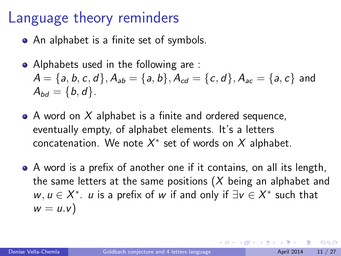## Language theory reminders

- An alphabet is a finite set of symbols.
- Alphabets used in the following are :  $A = \{a, b, c, d\}, A_{ab} = \{a, b\}, A_{cd} = \{c, d\}, A_{ac} = \{a, c\}$  and  $A_{bd} = \{b, d\}.$
- A word on X alphabet is a finite and ordered sequence, eventually empty, of alphabet elements. It's a letters concatenation. We note  $X^*$  set of words on  $X$  alphabet.
- A word is a prefix of another one if it contains, on all its length, the same letters at the same positions  $(X)$  being an alphabet and  $w, u \in X^*$ . u is a prefix of w if and only if  $\exists v \in X^*$  such that  $w = u.v$

つへへ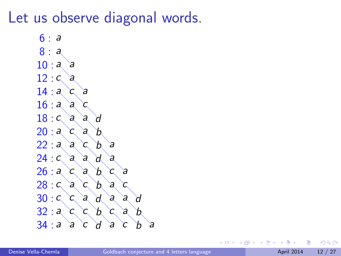### Let us observe diagonal words.



4 **D** F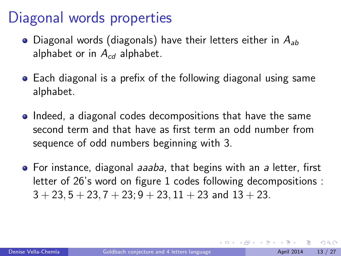# Diagonal words properties

- Diagonal words (diagonals) have their letters either in  $A_{ab}$ alphabet or in  $A_{cd}$  alphabet.
- Each diagonal is a prefix of the following diagonal using same alphabet.
- Indeed, a diagonal codes decompositions that have the same second term and that have as first term an odd number from sequence of odd numbers beginning with 3.
- For instance, diagonal *aaaba*, that begins with an a letter, first letter of 26's word on figure 1 codes following decompositions :  $3 + 23$ ,  $5 + 23$ ,  $7 + 23$ ;  $9 + 23$ ,  $11 + 23$  and  $13 + 23$ .

4 D F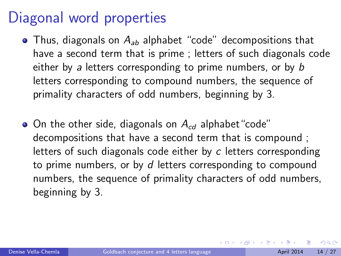# Diagonal word properties

- Thus, diagonals on  $A_{ab}$  alphabet "code" decompositions that have a second term that is prime ; letters of such diagonals code either by a letters corresponding to prime numbers, or by b letters corresponding to compound numbers, the sequence of primality characters of odd numbers, beginning by 3.
- $\bullet$  On the other side, diagonals on  $A_{cd}$  alphabet "code" decompositions that have a second term that is compound ; letters of such diagonals code either by c letters corresponding to prime numbers, or by d letters corresponding to compound numbers, the sequence of primality characters of odd numbers, beginning by 3.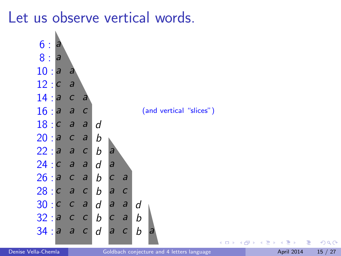Let us observe vertical words.



 $\leftarrow$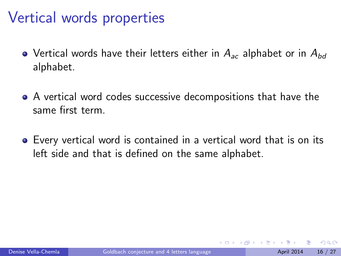# Vertical words properties

- Vertical words have their letters either in  $A_{ac}$  alphabet or in  $A_{bd}$ alphabet.
- A vertical word codes successive decompositions that have the same first term.
- Every vertical word is contained in a vertical word that is on its left side and that is defined on the same alphabet.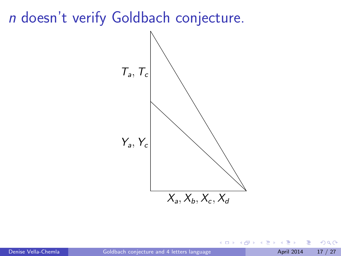

4 0 8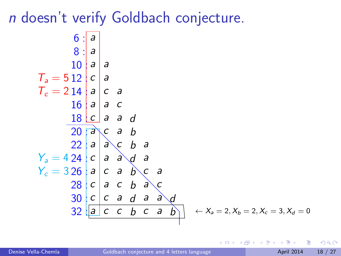6: 
$$
\begin{vmatrix} a & b \\ 0 & a \\ 1 & 0 \\ 0 & a \end{vmatrix}
$$
 a  
\n $T_a = 5 \begin{vmatrix} 2 \\ 12 \\ 16 \\ 1 & 0 \\ 0 & a \end{vmatrix}$  a  
\n $T_c = 2 \begin{vmatrix} 1 & a \\ 1 & 0 \\ 0 & a \end{vmatrix}$  c a  
\n $\begin{vmatrix} 1 & 0 & a \\ 1 & 0 & a \\ 2 & 0 & a \\ 2 & 0 & 0 \\ 2 & 0 & 0 \\ 2 & 0 & 0 \\ 2 & 0 & 0 \\ 2 & 0 & 0 \\ 2 & 0 & 0 \\ 2 & 0 & 0 \\ 2 & 0 & 0 \\ 2 & 0 & 0 \\ 2 & 0 & 0 \\ 2 & 0 & 0 \\ 2 & 0 & 0 \\ 2 & 0 & 0 \\ 2 & 0 & 0 \\ 2 & 0 & 0 \\ 2 & 0 & 0 \\ 2 & 0 & 0 \\ 2 & 0 & 0 \\ 2 & 0 & 0 \\ 2 & 0 & 0 \\ 2 & 0 & 0 \\ 2 & 0 & 0 \\ 2 & 0 & 0 \\ 2 & 0 & 0 \\ 2 & 0 & 0 \\ 2 & 0 & 0 \\ 2 & 0 & 0 \\ 2 & 0 & 0 \\ 2 & 0 & 0 \\ 2 & 0 & 0 \\ 2 & 0 & 0 \\ 2 & 0 & 0 \\ 2 & 0 & 0 \\ 2 & 0 & 0 \\ 2 & 0 & 0 \\ 2 & 0 & 0 \\ 2 & 0 & 0 \\ 2 & 0 & 0 \\ 2 & 0 & 0 \\ 2 & 0 & 0 \\ 2 & 0 & 0 \\ 2 & 0 & 0 \\ 2 & 0 & 0 \\ 2 & 0 & 0 \\ 2 & 0 & 0 \\ 2 & 0 & 0 \\ 2 & 0 & 0 \\ 2 & 0 & 0 \\ 2 & 0 & 0 \\ 2 & 0 & 0 \\ 2 & 0 & 0 \\ 2 & 0 & 0 \\ 2 & 0 & 0 \\ 2 & 0 & 0 \\ 2 & 0 & 0 \\ 2 & 0 & 0 \\ 2 & 0 & 0 \\ 2 & 0 & 0 \\ 2 & 0 & 0 \\ 2 & 0 & 0 \\ 2 & 0 & 0 \\ 2 & 0 & 0 \\ 2 & 0 & 0 \\ 2 & 0 & 0 \\ 2 & 0 & 0 \\ 2 & 0 & 0 \\ 2 & 0 & 0 \\ 2$ 

4 0 8

- ∢ r¶ **In**  э

 $QQ$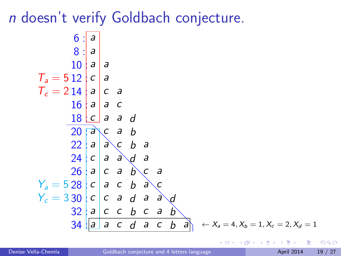6 : 8 : 10 : 12 : 14 : 16 : 18 : 20 : 22 : 24 : 26 : 28 : 30 : 32 : 34 : a a a a c a a c a a a c c a a d a c a b a a c b a c a a d a a c a b c a c a c b a c c c a d a a d a c c b c a b a a c d a c b a T<sup>a</sup> = 5 T<sup>c</sup> = 2 Y<sup>a</sup> = 5 Y<sup>c</sup> = 3 ← X<sup>a</sup> = 4, X<sup>b</sup> = 1, X<sup>c</sup> = 2, X<sup>d</sup> = 1

画

 $QQ$ 

**← ロ ▶ → イ 同** 

 $\rightarrow$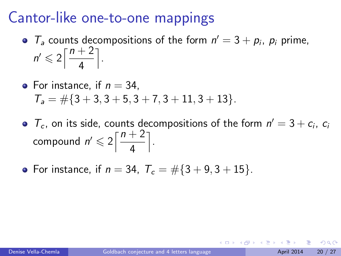- $T_a$  counts decompositions of the form  $n' = 3 + p_i$ ,  $p_i$  prime,  $n' \leqslant 2\left\lceil \frac{n+2}{4} \right\rceil$ 4 m .
- For instance, if  $n = 34$ .  $T_a = \frac{\pi}{3} + 3, 3 + 5, 3 + 7, 3 + 11, 3 + 13$ .
- $T_c$ , on its side, counts decompositions of the form  $n' = 3 + c_i$ ,  $c_i$ compound  $n' \leqslant 2\left\lceil \frac{n+2}{4}\right\rceil$ 4 m .
- For instance, if  $n = 34$ ,  $T_c = #{3 + 9, 3 + 15}.$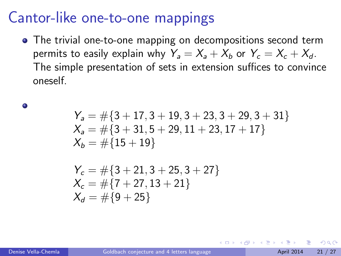• The trivial one-to-one mapping on decompositions second term permits to easily explain why  $Y_a = X_a + X_b$  or  $Y_c = X_c + X_d$ . The simple presentation of sets in extension suffices to convince oneself.

$$
\begin{array}{l} Y_a = \#\{3+17,3+19,3+23,3+29,3+31\} \\ X_a = \#\{3+31,5+29,11+23,17+17\} \\ X_b = \#\{15+19\} \end{array}
$$

$$
\begin{aligned} Y_c &= \# \{3 + 21, 3 + 25, 3 + 27\} \\ X_c &= \# \{7 + 27, 13 + 21\} \\ X_d &= \# \{9 + 25\} \end{aligned}
$$

۰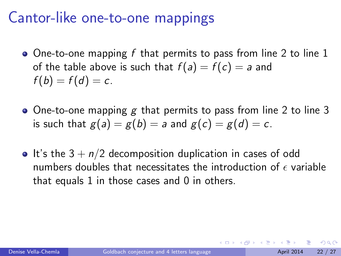- $\bullet$  One-to-one mapping f that permits to pass from line 2 to line 1 of the table above is such that  $f(a) = f(c) = a$  and  $f(b) = f(d) = c$ .
- $\bullet$  One-to-one mapping g that permits to pass from line 2 to line 3 is such that  $g(a) = g(b) = a$  and  $g(c) = g(d) = c$ .
- It's the  $3 + n/2$  decomposition duplication in cases of odd numbers doubles that necessitates the introduction of  $\epsilon$  variable that equals 1 in those cases and 0 in others.

つへへ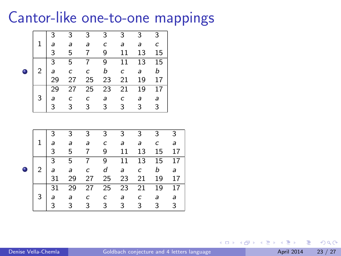



4 D F → 何 ▶ э

- イ ヨ ト

 $QQQ$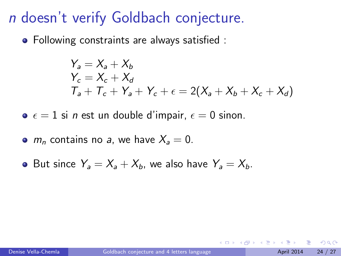Following constraints are always satisfied :

$$
\begin{aligned} Y_a &= X_a + X_b \\ Y_c &= X_c + X_d \\ T_a + T_c + Y_a + Y_c + \epsilon &= 2(X_a + X_b + X_c + X_d) \end{aligned}
$$

 $\bullet \epsilon = 1$  si *n* est un double d'impair,  $\epsilon = 0$  sinon.

- $m_n$  contains no a, we have  $X_a = 0$ .
- But since  $Y_a = X_a + X_b$ , we also have  $Y_a = X_b$ .

つへへ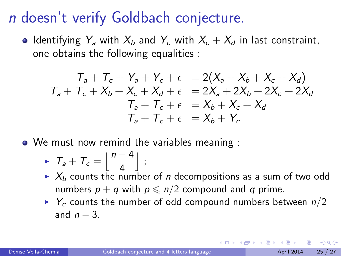• Identifying  $Y_a$  with  $X_b$  and  $Y_c$  with  $X_c + X_d$  in last constraint, one obtains the following equalities :

$$
T_a + T_c + Y_a + Y_c + \epsilon = 2(X_a + X_b + X_c + X_d)
$$
  
\n
$$
T_a + T_c + X_b + X_c + X_d + \epsilon = 2X_a + 2X_b + 2X_c + 2X_d
$$
  
\n
$$
T_a + T_c + \epsilon = X_b + X_c + X_d
$$
  
\n
$$
T_a + T_c + \epsilon = X_b + Y_c
$$

• We must now remind the variables meaning :

$$
\triangleright T_a + T_c = \left\lfloor \frac{n-4}{4} \right\rfloor ;
$$

- $\blacktriangleright$   $X_b$  counts the number of n decompositions as a sum of two odd numbers  $p + q$  with  $p \le n/2$  compound and q prime.
- $\triangleright$  Y<sub>c</sub> counts the number of odd compound numbers between  $n/2$ and  $n - 3$ .

つへへ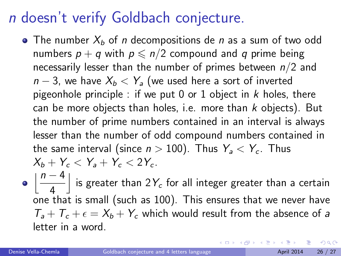- The number  $X_b$  of *n* decompositions de *n* as a sum of two odd numbers  $p + q$  with  $p \le n/2$  compound and q prime being necessarily lesser than the number of primes between  $n/2$  and  $n-3$ , we have  $X_b < Y_a$  (we used here a sort of inverted pigeonhole principle : if we put 0 or 1 object in  $k$  holes, there can be more objects than holes, i.e. more than  $k$  objects). But the number of prime numbers contained in an interval is always lesser than the number of odd compound numbers contained in the same interval (since  $n > 100$ ). Thus  $Y_a < Y_c$ . Thus  $X_b + Y_c < Y_a + Y_c < 2Y_c$ .
- $\lfloor \frac{n-4}{2} \rfloor$ 4  $\bigm|$  is greater than 2 $Y_c$  for all integer greater than a certain one that is small (such as 100). This ensures that we never have  $T_a + T_c + \epsilon = X_b + Y_c$  which would result from the absence of a letter in a word.

 $\Omega$ 

K ロ ▶ K 御 ▶ K 君 ▶ K 君 ▶